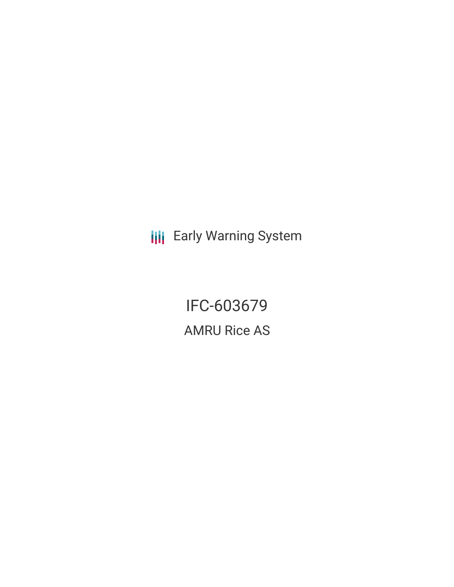**III** Early Warning System

IFC-603679 AMRU Rice AS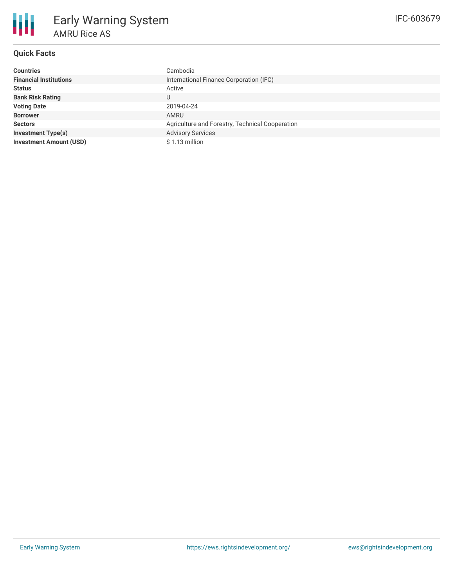

# **Quick Facts**

| <b>Countries</b>               | Cambodia                                        |  |  |  |
|--------------------------------|-------------------------------------------------|--|--|--|
| <b>Financial Institutions</b>  | International Finance Corporation (IFC)         |  |  |  |
| <b>Status</b>                  | Active                                          |  |  |  |
| <b>Bank Risk Rating</b>        | U                                               |  |  |  |
| <b>Voting Date</b>             | 2019-04-24                                      |  |  |  |
| <b>Borrower</b>                | AMRU                                            |  |  |  |
| <b>Sectors</b>                 | Agriculture and Forestry, Technical Cooperation |  |  |  |
| <b>Investment Type(s)</b>      | <b>Advisory Services</b>                        |  |  |  |
| <b>Investment Amount (USD)</b> | \$1.13 million                                  |  |  |  |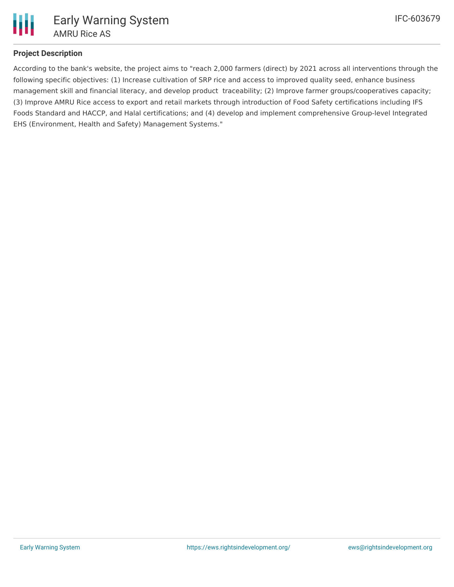

## **Project Description**

According to the bank's website, the project aims to "reach 2,000 farmers (direct) by 2021 across all interventions through the following specific objectives: (1) Increase cultivation of SRP rice and access to improved quality seed, enhance business management skill and financial literacy, and develop product traceability; (2) Improve farmer groups/cooperatives capacity; (3) Improve AMRU Rice access to export and retail markets through introduction of Food Safety certifications including IFS Foods Standard and HACCP, and Halal certifications; and (4) develop and implement comprehensive Group-level Integrated EHS (Environment, Health and Safety) Management Systems."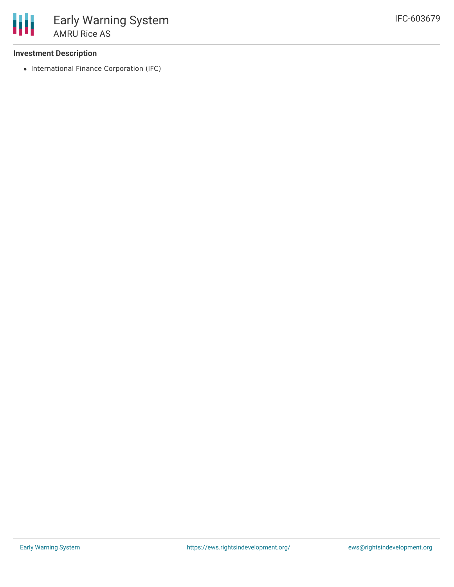

### **Investment Description**

• International Finance Corporation (IFC)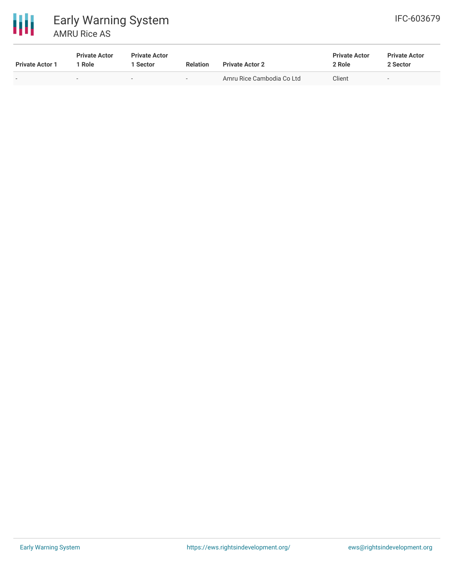

### 冊 Early Warning System AMRU Rice AS

| <b>Private Actor 1</b>   | <b>Private Actor</b><br>l Role | <b>Private Actor</b><br>l Sector | <b>Relation</b>          | <b>Private Actor 2</b>    | <b>Private Actor</b><br>2 Role | <b>Private Actor</b><br>2 Sector |
|--------------------------|--------------------------------|----------------------------------|--------------------------|---------------------------|--------------------------------|----------------------------------|
| $\overline{\phantom{0}}$ | $\overline{\phantom{0}}$       | $\overline{\phantom{a}}$         | $\overline{\phantom{a}}$ | Amru Rice Cambodia Co Ltd | Client                         | $\overline{\phantom{0}}$         |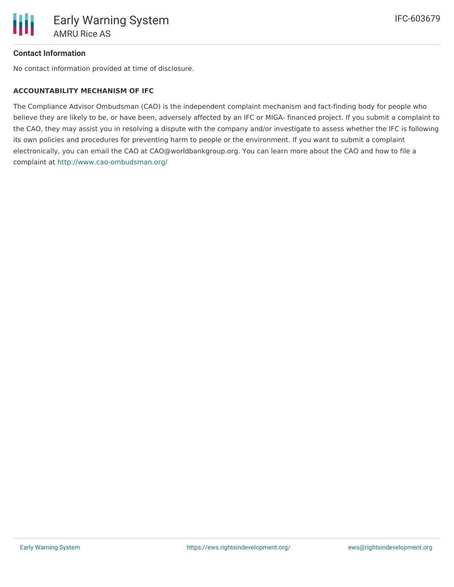

#### **Contact Information**

No contact information provided at time of disclosure.

#### **ACCOUNTABILITY MECHANISM OF IFC**

The Compliance Advisor Ombudsman (CAO) is the independent complaint mechanism and fact-finding body for people who believe they are likely to be, or have been, adversely affected by an IFC or MIGA- financed project. If you submit a complaint to the CAO, they may assist you in resolving a dispute with the company and/or investigate to assess whether the IFC is following its own policies and procedures for preventing harm to people or the environment. If you want to submit a complaint electronically, you can email the CAO at CAO@worldbankgroup.org. You can learn more about the CAO and how to file a complaint at <http://www.cao-ombudsman.org/>